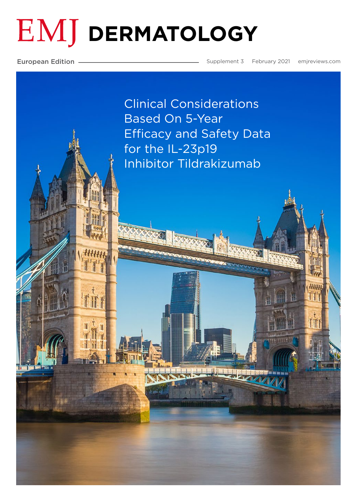# **EMJ DERMATOLOGY**

European Edition

平市平

Supplement 3 February 2021 emjreviews.com

Clinical Considerations Based On 5-Year Efficacy and Safety Data for the IL-23p19 Inhibitor Tildrakizumab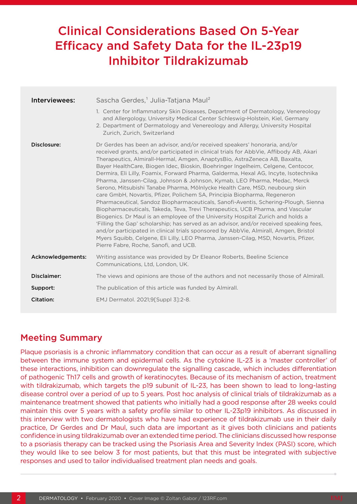## Clinical Considerations Based On 5-Year Efficacy and Safety Data for the IL-23p19 Inhibitor Tildrakizumab

| Interviewees:     | Sascha Gerdes, <sup>1</sup> Julia-Tatjana Maul <sup>2</sup>                                                                                                                                                                                                                                                                                                                                                                                                                                                                                                                                                                                                                                                                                                                                                                                                                                                                                                                                                                                                                                                                                                                                                                                         |
|-------------------|-----------------------------------------------------------------------------------------------------------------------------------------------------------------------------------------------------------------------------------------------------------------------------------------------------------------------------------------------------------------------------------------------------------------------------------------------------------------------------------------------------------------------------------------------------------------------------------------------------------------------------------------------------------------------------------------------------------------------------------------------------------------------------------------------------------------------------------------------------------------------------------------------------------------------------------------------------------------------------------------------------------------------------------------------------------------------------------------------------------------------------------------------------------------------------------------------------------------------------------------------------|
|                   | 1. Center for Inflammatory Skin Diseases, Department of Dermatology, Venereology                                                                                                                                                                                                                                                                                                                                                                                                                                                                                                                                                                                                                                                                                                                                                                                                                                                                                                                                                                                                                                                                                                                                                                    |
|                   | and Allergology, University Medical Center Schleswig-Holstein, Kiel, Germany<br>2. Department of Dermatology and Venereology and Allergy, University Hospital<br>Zurich, Zurich, Switzerland                                                                                                                                                                                                                                                                                                                                                                                                                                                                                                                                                                                                                                                                                                                                                                                                                                                                                                                                                                                                                                                        |
| Disclosure:       | Dr Gerdes has been an advisor, and/or received speakers' honoraria, and/or<br>received grants, and/or participated in clinical trials for AbbVie, Affibody AB, Akari<br>Therapeutics, Almirall-Hermal, Amgen, AnaptysBio, AstraZeneca AB, Baxalta,<br>Bayer HealthCare, Biogen Idec, Bioskin, Boehringer Ingelheim, Celgene, Centocor,<br>Dermira, Eli Lilly, Foamix, Forward Pharma, Galderma, Hexal AG, Incyte, Isotechnika<br>Pharma, Janssen-Cilag, Johnson & Johnson, Kymab, LEO Pharma, Medac, Merck<br>Serono, Mitsubishi Tanabe Pharma, Mölnlycke Health Care, MSD, neubourg skin<br>care GmbH, Novartis, Pfizer, Polichem SA, Principia Biopharma, Regeneron<br>Pharmaceutical, Sandoz Biopharmaceuticals, Sanofi-Aventis, Schering-Plough, Sienna<br>Biopharmaceuticals, Takeda, Teva, Trevi Therapeutics, UCB Pharma, and Vascular<br>Biogenics. Dr Maul is an employee of the University Hospital Zurich and holds a<br>'Filling the Gap' scholarship; has served as an advisor, and/or received speaking fees,<br>and/or participated in clinical trials sponsored by AbbVie, Almirall, Amgen, Bristol<br>Myers Squibb, Celgene, Eli Lilly, LEO Pharma, Janssen-Cilag, MSD, Novartis, Pfizer,<br>Pierre Fabre, Roche, Sanofi, and UCB. |
| Acknowledgements: | Writing assistance was provided by Dr Eleanor Roberts, Beeline Science<br>Communications, Ltd, London, UK.                                                                                                                                                                                                                                                                                                                                                                                                                                                                                                                                                                                                                                                                                                                                                                                                                                                                                                                                                                                                                                                                                                                                          |
| Disclaimer:       | The views and opinions are those of the authors and not necessarily those of Almirall.                                                                                                                                                                                                                                                                                                                                                                                                                                                                                                                                                                                                                                                                                                                                                                                                                                                                                                                                                                                                                                                                                                                                                              |
| Support:          | The publication of this article was funded by Almirall.                                                                                                                                                                                                                                                                                                                                                                                                                                                                                                                                                                                                                                                                                                                                                                                                                                                                                                                                                                                                                                                                                                                                                                                             |
| <b>Citation:</b>  | EMJ Dermatol. 2021;9[Suppl 3]:2-8.                                                                                                                                                                                                                                                                                                                                                                                                                                                                                                                                                                                                                                                                                                                                                                                                                                                                                                                                                                                                                                                                                                                                                                                                                  |

### Meeting Summary

Plaque psoriasis is a chronic inflammatory condition that can occur as a result of aberrant signalling between the immune system and epidermal cells. As the cytokine IL-23 is a 'master controller' of these interactions, inhibition can downregulate the signalling cascade, which includes differentiation of pathogenic Th17 cells and growth of keratinocytes. Because of its mechanism of action, treatment with tildrakizumab, which targets the p19 subunit of IL-23, has been shown to lead to long-lasting disease control over a period of up to 5 years. Post hoc analysis of clinical trials of tildrakizumab as a maintenance treatment showed that patients who initially had a good response after 28 weeks could maintain this over 5 years with a safety profile similar to other IL-23p19 inhibitors. As discussed in this interview with two dermatologists who have had experience of tildrakizumab use in their daily practice, Dr Gerdes and Dr Maul, such data are important as it gives both clinicians and patients confidence in using tildrakizumab over an extended time period. The clinicians discussed how response to a psoriasis therapy can be tracked using the Psoriasis Area and Severity Index (PASI) score, which they would like to see below 3 for most patients, but that this must be integrated with subjective responses and used to tailor individualised treatment plan needs and goals.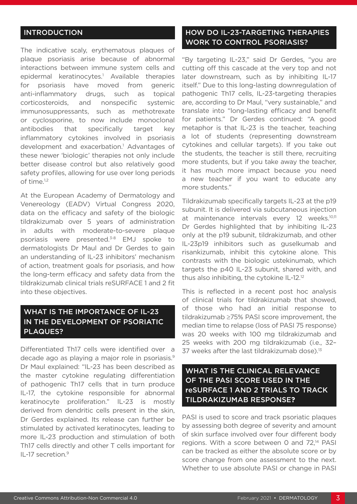#### INTRODUCTION

The indicative scaly, erythematous plaques of plaque psoriasis arise because of abnormal interactions between immune system cells and epidermal keratinocytes.1 Available therapies for psoriasis have moved from generic anti-inflammatory drugs, such as topical corticosteroids, and nonspecific systemic immunosuppressants, such as methotrexate or cyclosporine, to now include monoclonal antibodies that specifically target key inflammatory cytokines involved in psoriasis development and exacerbation.<sup>1</sup> Advantages of these newer 'biologic' therapies not only include better disease control but also relatively good safety profiles, allowing for use over long periods of time.1,2

At the European Academy of Dermatology and Venereology (EADV) Virtual Congress 2020, data on the efficacy and safety of the biologic tildrakizumab over 5 years of administration in adults with moderate-to-severe plaque psoriasis were presented.3-8 EMJ spoke to dermatologists Dr Maul and Dr Gerdes to gain an understanding of IL-23 inhibitors' mechanism of action, treatment goals for psoriasis, and how the long-term efficacy and safety data from the tildrakizumab clinical trials reSURFACE 1 and 2 fit into these objectives.

#### WHAT IS THE IMPORTANCE OF IL-23 IN THE DEVELOPMENT OF PSORIATIC PLAQUES?

Differentiated Th17 cells were identified over a decade ago as playing a major role in psoriasis.<sup>9</sup> Dr Maul explained: "IL-23 has been described as the master cytokine regulating differentiation of pathogenic Th17 cells that in turn produce IL-17, the cytokine responsible for abnormal keratinocyte proliferation." IL-23 is mostly derived from dendritic cells present in the skin, Dr Gerdes explained. Its release can further be stimulated by activated keratinocytes, leading to more IL-23 production and stimulation of both Th17 cells directly and other T cells important for IL-17 secretion.<sup>9</sup>

#### HOW DO IL-23-TARGETING THERAPIES WORK TO CONTROL PSORIASIS?

"By targeting IL-23," said Dr Gerdes, "you are cutting off this cascade at the very top and not later downstream, such as by inhibiting IL-17 itself." Due to this long-lasting downregulation of pathogenic Th17 cells, IL-23-targeting therapies are, according to Dr Maul, "very sustainable," and translate into "long-lasting efficacy and benefit for patients." Dr Gerdes continued: "A good metaphor is that IL-23 is the teacher, teaching a lot of students (representing downstream cytokines and cellular targets). If you take out the students, the teacher is still there, recruiting more students, but if you take away the teacher, it has much more impact because you need a new teacher if you want to educate any more students."

Tildrakizumab specifically targets IL-23 at the p19 subunit. It is delivered via subcutaneous injection at maintenance intervals every 12 weeks.<sup>10,11</sup> Dr Gerdes highlighted that by inhibiting IL-23 only at the p19 subunit, tildrakizumab, and other IL-23p19 inhibitors such as guselkumab and risankizumab, inhibit this cytokine alone. This contrasts with the biologic ustekinumab, which targets the p40 IL-23 subunit, shared with, and thus also inhibiting, the cytokine IL-12.12

This is reflected in a recent post hoc analysis of clinical trials for tildrakizumab that showed, of those who had an initial response to tildrakizumab ≥75% PASI score improvement, the median time to relapse (loss of PASI 75 response) was 20 weeks with 100 mg tildrakizumab and 25 weeks with 200 mg tildrakizumab (i.e., 32– 37 weeks after the last tildrakizumab dose).13

#### WHAT IS THE CLINICAL RELEVANCE OF THE PASI SCORE USED IN THE reSURFACE 1 AND 2 TRIALS TO TRACK TILDRAKIZUMAB RESPONSE**?**

PASI is used to score and track psoriatic plaques by assessing both degree of severity and amount of skin surface involved over four different body regions. With a score between 0 and 72,<sup>14</sup> PASI can be tracked as either the absolute score or by score change from one assessment to the next. Whether to use absolute PASI or change in PASI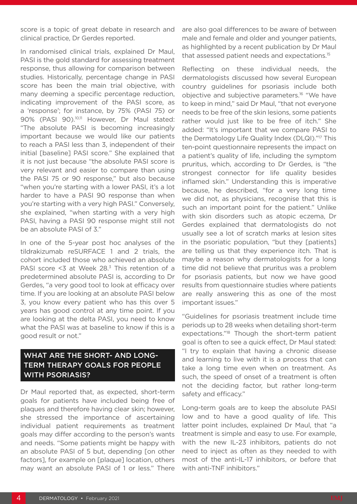score is a topic of great debate in research and clinical practice, Dr Gerdes reported.

In randomised clinical trials, explained Dr Maul, PASI is the gold standard for assessing treatment response, thus allowing for comparison between studies. Historically, percentage change in PASI score has been the main trial objective, with many deeming a specific percentage reduction, indicating improvement of the PASI score, as a 'response'; for instance, by 75% (PASI 75) or 90% (PASI 90).<sup>10,11</sup> However, Dr Maul stated: "The absolute PASI is becoming increasingly important because we would like our patients to reach a PASI less than 3, independent of their initial [baseline] PASI score." She explained that it is not just because "the absolute PASI score is very relevant and easier to compare than using the PASI 75 or 90 response," but also because "when you're starting with a lower PASI, it's a lot harder to have a PASI 90 response than when you're starting with a very high PASI." Conversely, she explained, "when starting with a very high PASI, having a PASI 90 response might still not be an absolute PASI of 3."

In one of the 5-year post hoc analyses of the tildrakizumab reSURFACE 1 and 2 trials, the cohort included those who achieved an absolute PASI score  $<$ 3 at Week 28. $<sup>3</sup>$  This retention of a</sup> predetermined absolute PASI is, according to Dr Gerdes, "a very good tool to look at efficacy over time. If you are looking at an absolute PASI below 3, you know every patient who has this over 5 years has good control at any time point. If you are looking at the delta PASI, you need to know what the PASI was at baseline to know if this is a good result or not."

#### WHAT ARE THE SHORT- AND LONG-TERM THERAPY GOALS FOR PEOPLE WITH PSORIASIS?

Dr Maul reported that, as expected, short-term goals for patients have included being free of plaques and therefore having clear skin; however, she stressed the importance of ascertaining individual patient requirements as treatment goals may differ according to the person's wants and needs. "Some patients might be happy with an absolute PASI of 5 but, depending [on other factors], for example on [plaque] location, others may want an absolute PASI of 1 or less." There

are also goal differences to be aware of between male and female and older and younger patients, as highlighted by a recent publication by Dr Maul that assessed patient needs and expectations.<sup>15</sup>

Reflecting on these individual needs, the dermatologists discussed how several European country guidelines for psoriasis include both objective and subjective parameters.16 "We have to keep in mind," said Dr Maul, "that not everyone needs to be free of the skin lesions, some patients rather would just like to be free of itch." She added: "It's important that we compare PASI to the Dermatology Life Quality Index (DLQI)."17 This ten-point questionnaire represents the impact on a patient's quality of life, including the symptom pruritus, which, according to Dr Gerdes, is "the strongest connector for life quality besides inflamed skin." Understanding this is imperative because, he described, "for a very long time we did not, as physicians, recognise that this is such an important point for the patient." Unlike with skin disorders such as atopic eczema, Dr Gerdes explained that dermatologists do not usually see a lot of scratch marks at lesion sites in the psoriatic population, "but they [patients] are telling us that they experience itch. That is maybe a reason why dermatologists for a long time did not believe that pruritus was a problem for psoriasis patients, but now we have good results from questionnaire studies where patients are really answering this as one of the most important issues."

"Guidelines for psoriasis treatment include time periods up to 28 weeks when detailing short-term expectations."18 Though the short-term patient goal is often to see a quick effect, Dr Maul stated: "I try to explain that having a chronic disease and learning to live with it is a process that can take a long time even when on treatment. As such, the speed of onset of a treatment is often not the deciding factor, but rather long-term safety and efficacy."

Long-term goals are to keep the absolute PASI low and to have a good quality of life. This latter point includes, explained Dr Maul, that "a treatment is simple and easy to use. For example, with the new IL-23 inhibitors, patients do not need to inject as often as they needed to with most of the anti-IL-17 inhibitors, or before that with anti-TNF inhibitors."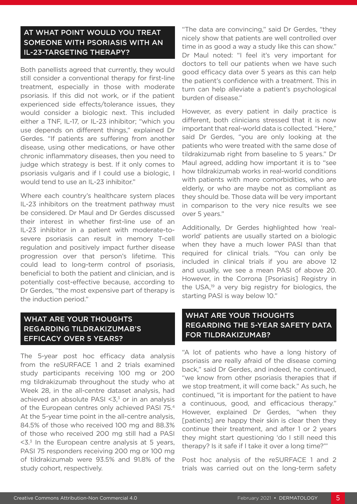#### AT WHAT POINT WOULD YOU TREAT SOMEONE WITH PSORIASIS WITH AN IL-23-TARGETING THERAPY?

Both panellists agreed that currently, they would still consider a conventional therapy for first-line treatment, especially in those with moderate psoriasis. If this did not work, or if the patient experienced side effects/tolerance issues, they would consider a biologic next. This included either a TNF, IL-17, or IL-23 inhibitor; "which you use depends on different things," explained Dr Gerdes. "If patients are suffering from another disease, using other medications, or have other chronic inflammatory diseases, then you need to judge which strategy is best. If it only comes to psoriasis vulgaris and if I could use a biologic, I would tend to use an IL-23 inhibitor."

Where each country's healthcare system places IL-23 inhibitors on the treatment pathway must be considered. Dr Maul and Dr Gerdes discussed their interest in whether first-line use of an IL-23 inhibitor in a patient with moderate-tosevere psoriasis can result in memory T-cell regulation and positively impact further disease progression over that person's lifetime. This could lead to long-term control of psoriasis, beneficial to both the patient and clinician, and is potentially cost-effective because, according to Dr Gerdes, "the most expensive part of therapy is the induction period."

#### WHAT ARE YOUR THOUGHTS REGARDING TILDRAKIZUMAB'S EFFICACY OVER 5 YEARS?

The 5-year post hoc efficacy data analysis from the reSURFACE 1 and 2 trials examined study participants receiving 100 mg or 200 mg tildrakizumab throughout the study who at Week 28, in the all-centre dataset analysis, had achieved an absolute PASI  $<$ 3, $<$ 3 or in an analysis of the European centres only achieved PASI 75.4 At the 5-year time point in the all-centre analysis, 84.5% of those who received 100 mg and 88.3% of those who received 200 mg still had a PASI  $53$  In the European centre analysis at 5 years, PASI 75 responders receiving 200 mg or 100 mg of tildrakizumab were 93.5% and 91.8% of the study cohort, respectively.

"The data are convincing," said Dr Gerdes, "they nicely show that patients are well controlled over time in as good a way a study like this can show." Dr Maul noted: "I feel it's very important for doctors to tell our patients when we have such good efficacy data over 5 years as this can help the patient's confidence with a treatment. This in turn can help alleviate a patient's psychological burden of disease."

However, as every patient in daily practice is different, both clinicians stressed that it is now important that real-world data is collected. "Here," said Dr Gerdes, "you are only looking at the patients who were treated with the same dose of tildrakizumab right from baseline to 5 years." Dr Maul agreed, adding how important it is to "see how tildrakizumab works in real-world conditions with patients with more comorbidities, who are elderly, or who are maybe not as compliant as they should be. Those data will be very important in comparison to the very nice results we see over 5 years."

Additionally, Dr Gerdes highlighted how 'realworld' patients are usually started on a biologic when they have a much lower PASI than that required for clinical trials. "You can only be included in clinical trials if you are above 12 and usually, we see a mean PASI of above 20. However, in the Corrona [Psoriasis] Registry in the USA,19 a very big registry for biologics, the starting PASI is way below 10."

#### WHAT ARE YOUR THOUGHTS REGARDING THE 5-YEAR SAFETY DATA FOR TILDRAKIZUMAB?

"A lot of patients who have a long history of psoriasis are really afraid of the disease coming back," said Dr Gerdes, and indeed, he continued, "we know from other psoriasis therapies that if we stop treatment, it will come back." As such, he continued, "it is important for the patient to have a continuous, good, and efficacious therapy." However, explained Dr Gerdes, "when they [patients] are happy their skin is clear then they continue their treatment, and after 1 or 2 years they might start questioning 'do I still need this therapy? Is it safe if I take it over a long time?'"

Post hoc analysis of the reSURFACE 1 and 2 trials was carried out on the long-term safety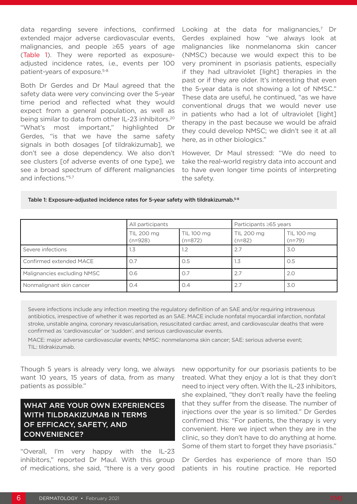data regarding severe infections, confirmed extended major adverse cardiovascular events, malignancies, and people ≥65 years of age (Table 1). They were reported as exposureadjusted incidence rates, i.e., events per 100 patient-years of exposure.5-8

Both Dr Gerdes and Dr Maul agreed that the safety data were very convincing over the 5-year time period and reflected what they would expect from a general population, as well as being similar to data from other IL-23 inhibitors.20 "What's most important," highlighted Dr Gerdes, "is that we have the same safety signals in both dosages [of tildrakizumab], we don't see a dose dependency. We also don't see clusters [of adverse events of one type], we see a broad spectrum of different malignancies and infections."5,7

Looking at the data for malignancies, $7$  Dr Gerdes explained how "we always look at malignancies like nonmelanoma skin cancer (NMSC) because we would expect this to be very prominent in psoriasis patients, especially if they had ultraviolet [light] therapies in the past or if they are older. It's interesting that even the 5-year data is not showing a lot of NMSC." These data are useful, he continued, "as we have conventional drugs that we would never use in patients who had a lot of ultraviolet [light] therapy in the past because we would be afraid they could develop NMSC; we didn't see it at all here, as in other biologics."

However, Dr Maul stressed: "We do need to take the real-world registry data into account and to have even longer time points of interpreting the safety.

| Table 1: Exposure-adjusted incidence rates for 5-year safety with tildrakizumab. $^{5\text{-}8}$ |  |  |
|--------------------------------------------------------------------------------------------------|--|--|
|--------------------------------------------------------------------------------------------------|--|--|

|                             | All participants        |                         | Participants ≥65 years |                        |
|-----------------------------|-------------------------|-------------------------|------------------------|------------------------|
|                             | TIL 200 mg<br>$(n=928)$ | TIL 100 mg<br>$(n=872)$ | TIL 200 mg<br>$(n=82)$ | TIL 100 mg<br>$(n=79)$ |
| Severe infections           | 1.3                     |                         | 2.7                    | 3.0                    |
| Confirmed extended MACE     | O.7                     | O.5                     | 1.3                    | O.5                    |
| Malignancies excluding NMSC | 0.6                     | O.7                     | 2.7                    | 2.0                    |
| Nonmalignant skin cancer    | O.4                     | O.4                     | 2.7                    | 3.0                    |

Severe infections include any infection meeting the regulatory definition of an SAE and/or requiring intravenous antibiotics, irrespective of whether it was reported as an SAE. MACE include nonfatal myocardial infarction, nonfatal stroke, unstable angina, coronary revascularisation, resuscitated cardiac arrest, and cardiovascular deaths that were confirmed as 'cardiovascular' or 'sudden', and serious cardiovascular events.

MACE: major adverse cardiovascular events; NMSC: nonmelanoma skin cancer; SAE: serious adverse event; TIL: tildrakizumab.

Though 5 years is already very long, we always want 10 years, 15 years of data, from as many patients as possible."

#### WHAT ARE YOUR OWN EXPERIENCES WITH TILDRAKIZUMAB IN TERMS OF EFFICACY, SAFETY, AND CONVENIENCE?

"Overall, I'm very happy with the IL-23 inhibitors," reported Dr Maul. With this group of medications, she said, "there is a very good

new opportunity for our psoriasis patients to be treated. What they enjoy a lot is that they don't need to inject very often. With the IL-23 inhibitors, she explained, "they don't really have the feeling that they suffer from the disease. The number of injections over the year is so limited." Dr Gerdes confirmed this: "For patients, the therapy is very convenient. Here we inject when they are in the clinic, so they don't have to do anything at home. Some of them start to forget they have psoriasis."

Dr Gerdes has experience of more than 150 patients in his routine practice. He reported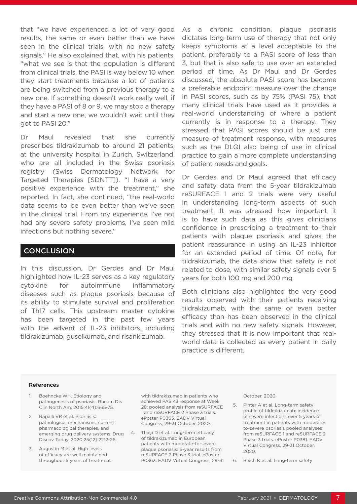that "we have experienced a lot of very good results, the same or even better than we have seen in the clinical trials, with no new safety signals." He also explained that, with his patients, "what we see is that the population is different from clinical trials, the PASI is way below 10 when they start treatments because a lot of patients are being switched from a previous therapy to a new one. If something doesn't work really well, if they have a PASI of 8 or 9, we may stop a therapy and start a new one, we wouldn't wait until they got to PASI 20."

Dr Maul revealed that she currently prescribes tildrakizumab to around 21 patients, at the university hospital in Zurich, Switzerland, who are all included in the Swiss psoriasis registry (Swiss Dermatology Network for Targeted Therapies [SDNTT]). "I have a very positive experience with the treatment," she reported. In fact, she continued, "the real-world data seems to be even better than we've seen in the clinical trial. From my experience, I've not had any severe safety problems, I've seen mild infections but nothing severe."

#### **CONCLUSION**

In this discussion, Dr Gerdes and Dr Maul highlighted how IL-23 serves as a key regulatory cytokine for autoimmune inflammatory diseases such as plaque psoriasis because of its ability to stimulate survival and proliferation of Th17 cells. This upstream master cytokine has been targeted in the past few years with the advent of IL-23 inhibitors, including tildrakizumab, guselkumab, and risankizumab.

As a chronic condition, plaque psoriasis dictates long-term use of therapy that not only keeps symptoms at a level acceptable to the patient, preferably to a PASI score of less than 3, but that is also safe to use over an extended period of time. As Dr Maul and Dr Gerdes discussed, the absolute PASI score has become a preferable endpoint measure over the change in PASI scores, such as by 75% (PASI 75), that many clinical trials have used as it provides a real-world understanding of where a patient currently is in response to a therapy. They stressed that PASI scores should be just one measure of treatment response, with measures such as the DLQI also being of use in clinical practice to gain a more complete understanding of patient needs and goals.

Dr Gerdes and Dr Maul agreed that efficacy and safety data from the 5-year tildrakizumab reSURFACE 1 and 2 trials were very useful in understanding long-term aspects of such treatment. It was stressed how important it is to have such data as this gives clinicians confidence in prescribing a treatment to their patients with plaque psoriasis and gives the patient reassurance in using an IL-23 inhibitor for an extended period of time. Of note, for tildrakizumab, the data show that safety is not related to dose, with similar safety signals over 5 years for both 100 mg and 200 mg.

Both clinicians also highlighted the very good results observed with their patients receiving tildrakizumab, with the same or even better efficacy than has been observed in the clinical trials and with no new safety signals. However, they stressed that it is now important that realworld data is collected as every patient in daily practice is different.

#### References

- 1. Boehncke WH. Etiology and pathogenesis of psoriasis. Rheum Dis Clin North Am. 2015;41(4):665-75.
- 2. Rapalli VR et al. Psoriasis: pathological mechanisms, current pharmacological therapies, and emerging drug delivery systems. Drug Discov Today. 2020;25(12):2212-26.
- 3. Augustin M et al. High levels of efficacy are well maintained throughout 5 years of treatment

with tildrakizumab in patients who achieved PASI<3 response at Week 28: pooled analysis from reSURFACE 1 and reSURFACE 2 Phase 3 trials. ePoster P0365. EADV Virtual Congress, 29-31 October, 2020.

4. Thaçi D et al. Long-term efficacy of tildrakizumab in European patients with moderate-to-severe plaque psoriasis: 5-year results from reSURFACE 2 Phase 3 trial. ePoster P0363. EADV Virtual Congress, 29-31 October, 2020.

- 5. Pinter A et al. Long-term safety profile of tildrakizumab: incidence of severe infections over 5 years of treatment in patients with moderateto-severe psoriasis pooled analyses from reSURFACE 1 and reSURFACE 2 Phase 3 trials. ePoster P0381. EADV Virtual Congress, 29-31 October, 2020.
- 6. Reich K et al. Long-term safety